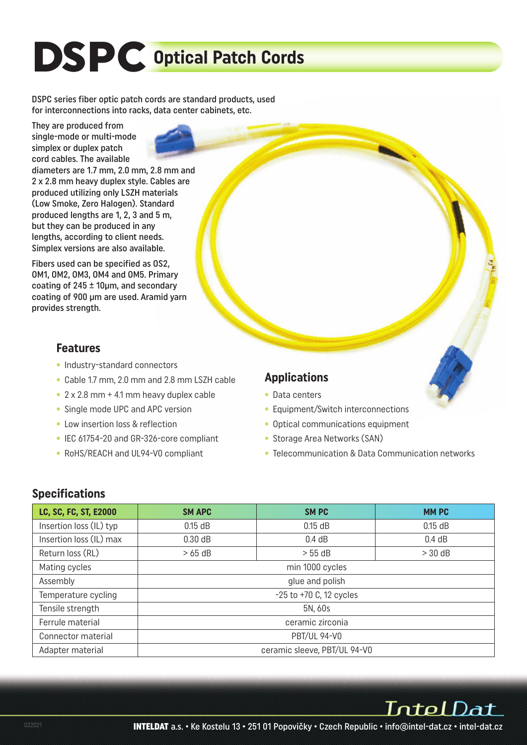# **DSPC Optical Patch Cords**

DSPC series fiber optic patch cords are standard products, used for interconnections into racks, data center cabinets, etc.

They are produced from single-mode or multi-mode simplex or duplex patch cord cables. The available

diameters are 1.7 mm, 2.0 mm, 2.8 mm and 2 x 2.8 mm heavy duplex style. Cables are produced utilizing only LSZH materials (Low Smoke, Zero Halogen). Standard produced lengths are 1, 2, 3 and 5 m, but they can be produced in any lengths, according to client needs. Simplex versions are also available.

Fibers used can be specified as OS2, OM1, OM2, OM3, OM4 and OM5. Primary coating of 245 ± 10µm, and secondary coating of 900 µm are used. Aramid yarn provides strength.

#### **Features**

- Industry-standard connectors
- Cable 1.7 mm, 2.0 mm and 2.8 mm LSZH cable
- 2 x 2.8 mm + 4.1 mm heavy duplex cable
- Single mode UPC and APC version
- Low insertion loss & reflection
- IEC 61754-20 and GR-326-core compliant
- RoHS/REACH and UL94-V0 compliant

## **Applications**

- Data centers
- Equipment/Switch interconnections
- Optical communications equipment
- Storage Area Networks (SAN)
- Telecommunication & Data Communication networks

#### **Specifications**

| LC, SC, FC, ST, E2000   | <b>SM APC</b>                | <b>SMPC</b> | <b>MMPC</b> |  |  |  |  |  |
|-------------------------|------------------------------|-------------|-------------|--|--|--|--|--|
| Insertion loss (IL) typ | $0.15$ dB                    | $0.15$ dB   | $0.15$ dB   |  |  |  |  |  |
| Insertion loss (IL) max | 0.30 dB                      | $0.4$ dB    | 0.4 dB      |  |  |  |  |  |
| Return loss (RL)        | $>65$ dB                     | > 55 dB     | $>$ 30 dB   |  |  |  |  |  |
| Mating cycles           | min 1000 cycles              |             |             |  |  |  |  |  |
| Assembly                | glue and polish              |             |             |  |  |  |  |  |
| Temperature cycling     | $-25$ to $+70$ C, 12 cycles  |             |             |  |  |  |  |  |
| Tensile strength        | 5N, 60s                      |             |             |  |  |  |  |  |
| Ferrule material        | ceramic zirconia             |             |             |  |  |  |  |  |
| Connector material      | <b>PBT/UL 94-V0</b>          |             |             |  |  |  |  |  |
| Adapter material        | ceramic sleeve, PBT/UL 94-V0 |             |             |  |  |  |  |  |